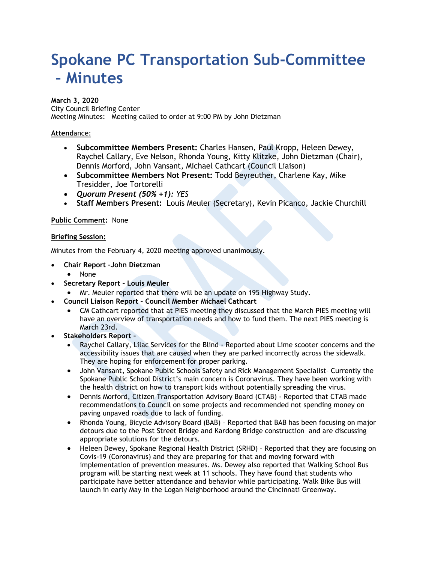# **Spokane PC Transportation Sub-Committee – Minutes**

### **March 3, 2020**

City Council Briefing Center Meeting Minutes: Meeting called to order at 9:00 PM by John Dietzman

## **Attend**ance:

- **Subcommittee Members Present:** Charles Hansen, Paul Kropp, Heleen Dewey, Raychel Callary, Eve Nelson, Rhonda Young, Kitty Klitzke, John Dietzman (Chair), Dennis Morford, John Vansant, Michael Cathcart (Council Liaison)
- **Subcommittee Members Not Present:** Todd Beyreuther, Charlene Kay, Mike Tresidder, Joe Tortorelli
- *Quorum Present (50% +1): YES*
- **Staff Members Present:** Louis Meuler (Secretary), Kevin Picanco, Jackie Churchill

#### **Public Comment:** None

#### **Briefing Session:**

Minutes from the February 4, 2020 meeting approved unanimously.

- **Chair Report –John Dietzman**
	- None
- **Secretary Report Louis Meuler**
	- Mr. Meuler reported that there will be an update on 195 Highway Study.
	- **Council Liaison Report Council Member Michael Cathcart**
		- CM Cathcart reported that at PIES meeting they discussed that the March PIES meeting will have an overview of transportation needs and how to fund them. The next PIES meeting is March 23rd.
- **Stakeholders Report –**
	- Raychel Callary, Lilac Services for the Blind Reported about Lime scooter concerns and the accessibility issues that are caused when they are parked incorrectly across the sidewalk. They are hoping for enforcement for proper parking.
	- John Vansant, Spokane Public Schools Safety and Rick Management Specialist– Currently the Spokane Public School District's main concern is Coronavirus. They have been working with the health district on how to transport kids without potentially spreading the virus.
	- Dennis Morford, Citizen Transportation Advisory Board (CTAB) Reported that CTAB made recommendations to Council on some projects and recommended not spending money on paving unpaved roads due to lack of funding.
	- Rhonda Young, Bicycle Advisory Board (BAB) Reported that BAB has been focusing on major detours due to the Post Street Bridge and Kardong Bridge construction and are discussing appropriate solutions for the detours.
	- Heleen Dewey, Spokane Regional Health District (SRHD) Reported that they are focusing on Covis-19 (Coronavirus) and they are preparing for that and moving forward with implementation of prevention measures. Ms. Dewey also reported that Walking School Bus program will be starting next week at 11 schools. They have found that students who participate have better attendance and behavior while participating. Walk Bike Bus will launch in early May in the Logan Neighborhood around the Cincinnati Greenway.